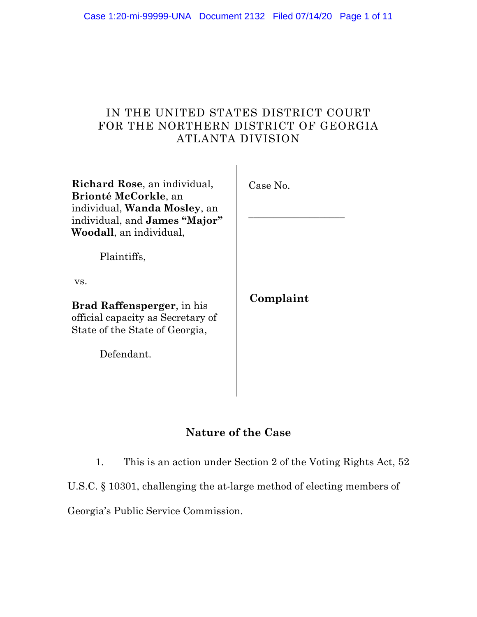### IN THE UNITED STATES DISTRICT COURT FOR THE NORTHERN DISTRICT OF GEORGIA ATLANTA DIVISION

| Richard Rose, an individual,<br>Brionté McCorkle, an<br>individual, <b>Wanda Mosley</b> , an<br>individual, and <b>James "Major"</b><br>Woodall, an individual, | Case No.  |
|-----------------------------------------------------------------------------------------------------------------------------------------------------------------|-----------|
| Plaintiffs,                                                                                                                                                     |           |
| VS.                                                                                                                                                             |           |
| <b>Brad Raffensperger</b> , in his<br>official capacity as Secretary of<br>State of the State of Georgia,                                                       | Complaint |
| Defendant.                                                                                                                                                      |           |
|                                                                                                                                                                 |           |

### **Nature of the Case**

1. This is an action under Section 2 of the Voting Rights Act, 52

U.S.C. § 10301, challenging the at-large method of electing members of

Georgia's Public Service Commission.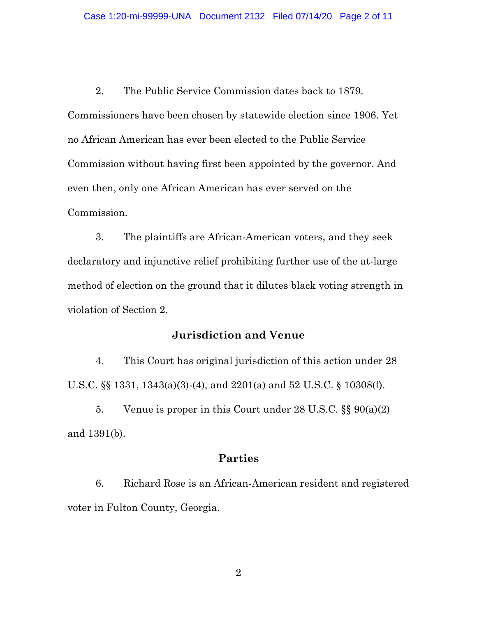2. The Public Service Commission dates back to 1879. Commissioners have been chosen by statewide election since 1906. Yet no African American has ever been elected to the Public Service Commission without having first been appointed by the governor. And even then, only one African American has ever served on the Commission.

3. The plaintiffs are African-American voters, and they seek declaratory and injunctive relief prohibiting further use of the at-large method of election on the ground that it dilutes black voting strength in violation of Section 2.

### **Jurisdiction and Venue**

4. This Court has original jurisdiction of this action under 28 U.S.C. §§ 1331, 1343(a)(3)-(4), and 2201(a) and 52 U.S.C. § 10308(f).

5. Venue is proper in this Court under 28 U.S.C. §§ 90(a)(2) and 1391(b).

### **Parties**

6. Richard Rose is an African-American resident and registered voter in Fulton County, Georgia.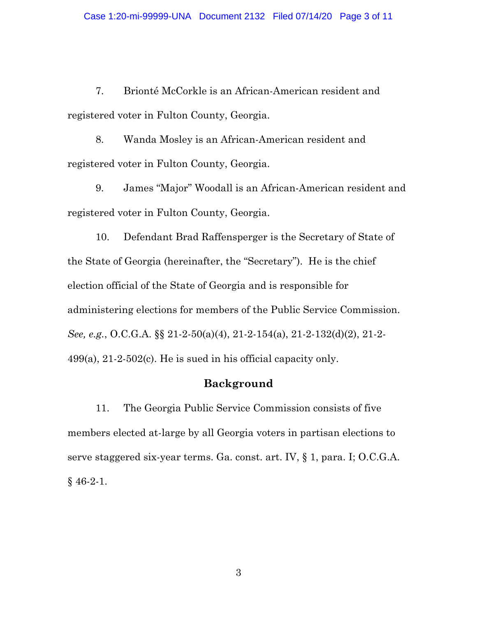7. Brionté McCorkle is an African-American resident and registered voter in Fulton County, Georgia.

8. Wanda Mosley is an African-American resident and registered voter in Fulton County, Georgia.

9. James "Major" Woodall is an African-American resident and registered voter in Fulton County, Georgia.

10. Defendant Brad Raffensperger is the Secretary of State of the State of Georgia (hereinafter, the "Secretary"). He is the chief election official of the State of Georgia and is responsible for administering elections for members of the Public Service Commission. *See, e.g.*, O.C.G.A. §§ 21-2-50(a)(4), 21-2-154(a), 21-2-132(d)(2), 21-2- 499(a), 21-2-502(c). He is sued in his official capacity only.

### **Background**

11. The Georgia Public Service Commission consists of five members elected at-large by all Georgia voters in partisan elections to serve staggered six-year terms. Ga. const. art. IV, § 1, para. I; O.C.G.A. § 46-2-1.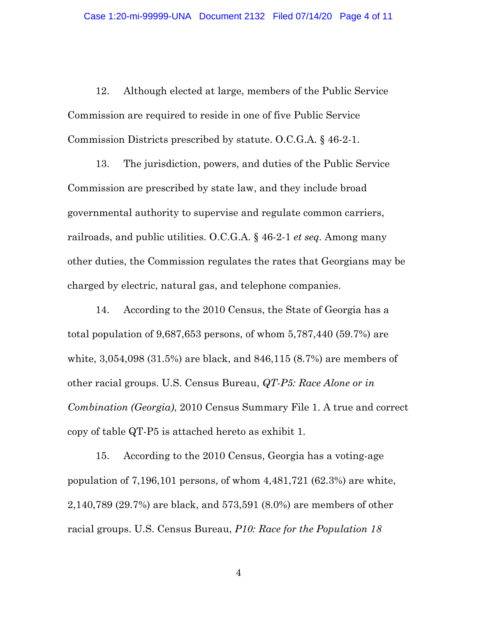12. Although elected at large, members of the Public Service Commission are required to reside in one of five Public Service Commission Districts prescribed by statute. O.C.G.A. § 46-2-1.

13. The jurisdiction, powers, and duties of the Public Service Commission are prescribed by state law, and they include broad governmental authority to supervise and regulate common carriers, railroads, and public utilities. O.C.G.A. § 46-2-1 *et seq.* Among many other duties, the Commission regulates the rates that Georgians may be charged by electric, natural gas, and telephone companies.

14. According to the 2010 Census, the State of Georgia has a total population of 9,687,653 persons, of whom 5,787,440 (59.7%) are white, 3,054,098 (31.5%) are black, and 846,115 (8.7%) are members of other racial groups. U.S. Census Bureau, *QT-P5: Race Alone or in Combination (Georgia)*, 2010 Census Summary File 1. A true and correct copy of table QT-P5 is attached hereto as exhibit 1.

15. According to the 2010 Census, Georgia has a voting-age population of 7,196,101 persons, of whom 4,481,721 (62.3%) are white, 2,140,789 (29.7%) are black, and 573,591 (8.0%) are members of other racial groups. U.S. Census Bureau, *P10: Race for the Population 18*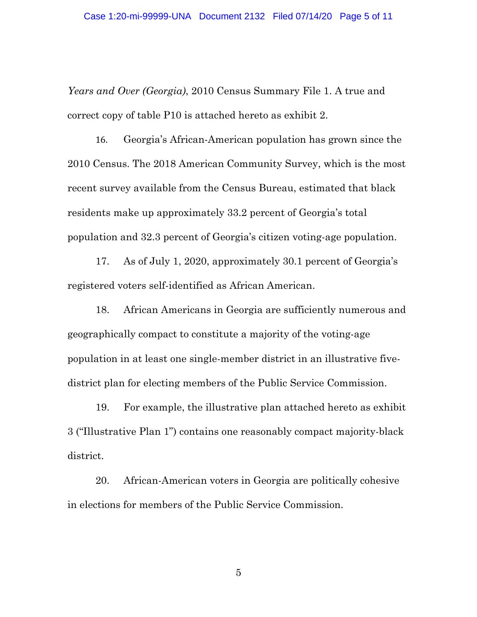*Years and Over (Georgia)*, 2010 Census Summary File 1. A true and correct copy of table P10 is attached hereto as exhibit 2.

16. Georgia's African-American population has grown since the 2010 Census. The 2018 American Community Survey, which is the most recent survey available from the Census Bureau, estimated that black residents make up approximately 33.2 percent of Georgia's total population and 32.3 percent of Georgia's citizen voting-age population.

17. As of July 1, 2020, approximately 30.1 percent of Georgia's registered voters self-identified as African American.

18. African Americans in Georgia are sufficiently numerous and geographically compact to constitute a majority of the voting-age population in at least one single-member district in an illustrative fivedistrict plan for electing members of the Public Service Commission.

19. For example, the illustrative plan attached hereto as exhibit 3 ("Illustrative Plan 1") contains one reasonably compact majority-black district.

20. African-American voters in Georgia are politically cohesive in elections for members of the Public Service Commission.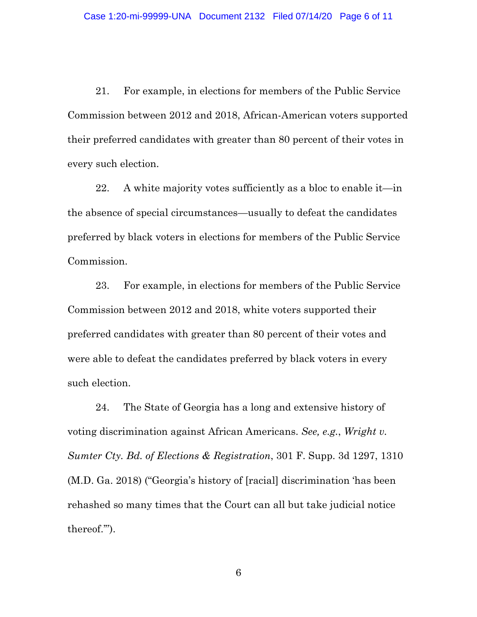21. For example, in elections for members of the Public Service Commission between 2012 and 2018, African-American voters supported their preferred candidates with greater than 80 percent of their votes in every such election.

22. A white majority votes sufficiently as a bloc to enable it—in the absence of special circumstances—usually to defeat the candidates preferred by black voters in elections for members of the Public Service Commission.

23. For example, in elections for members of the Public Service Commission between 2012 and 2018, white voters supported their preferred candidates with greater than 80 percent of their votes and were able to defeat the candidates preferred by black voters in every such election.

24. The State of Georgia has a long and extensive history of voting discrimination against African Americans. *See, e.g.*, *Wright v. Sumter Cty. Bd. of Elections & Registration*, 301 F. Supp. 3d 1297, 1310 (M.D. Ga. 2018) ("Georgia's history of [racial] discrimination 'has been rehashed so many times that the Court can all but take judicial notice thereof.'").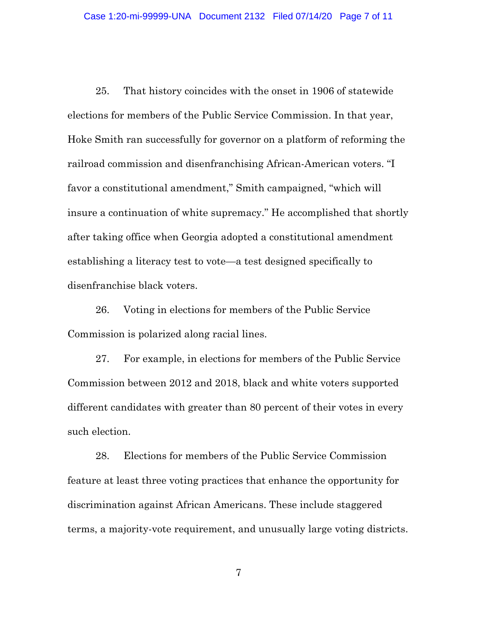25. That history coincides with the onset in 1906 of statewide elections for members of the Public Service Commission. In that year, Hoke Smith ran successfully for governor on a platform of reforming the railroad commission and disenfranchising African-American voters. "I favor a constitutional amendment," Smith campaigned, "which will insure a continuation of white supremacy." He accomplished that shortly after taking office when Georgia adopted a constitutional amendment establishing a literacy test to vote—a test designed specifically to disenfranchise black voters.

26. Voting in elections for members of the Public Service Commission is polarized along racial lines.

27. For example, in elections for members of the Public Service Commission between 2012 and 2018, black and white voters supported different candidates with greater than 80 percent of their votes in every such election.

28. Elections for members of the Public Service Commission feature at least three voting practices that enhance the opportunity for discrimination against African Americans. These include staggered terms, a majority-vote requirement, and unusually large voting districts.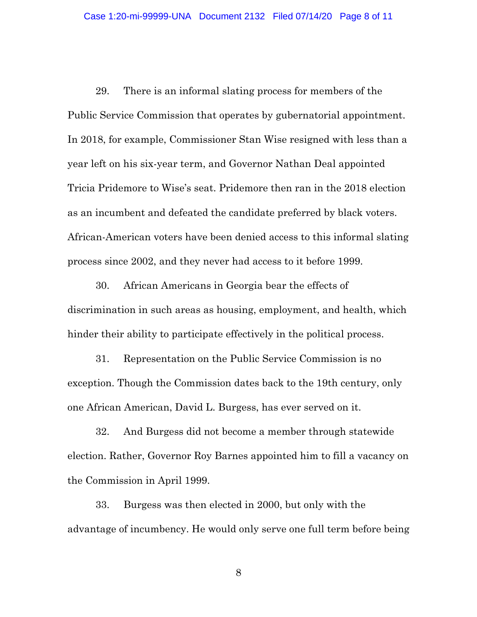29. There is an informal slating process for members of the Public Service Commission that operates by gubernatorial appointment. In 2018, for example, Commissioner Stan Wise resigned with less than a year left on his six-year term, and Governor Nathan Deal appointed Tricia Pridemore to Wise's seat. Pridemore then ran in the 2018 election as an incumbent and defeated the candidate preferred by black voters. African-American voters have been denied access to this informal slating process since 2002, and they never had access to it before 1999.

30. African Americans in Georgia bear the effects of discrimination in such areas as housing, employment, and health, which hinder their ability to participate effectively in the political process.

31. Representation on the Public Service Commission is no exception. Though the Commission dates back to the 19th century, only one African American, David L. Burgess, has ever served on it.

32. And Burgess did not become a member through statewide election. Rather, Governor Roy Barnes appointed him to fill a vacancy on the Commission in April 1999.

33. Burgess was then elected in 2000, but only with the advantage of incumbency. He would only serve one full term before being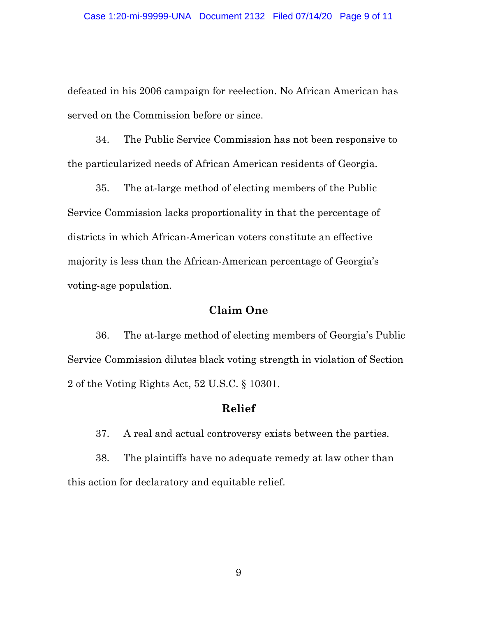defeated in his 2006 campaign for reelection. No African American has served on the Commission before or since.

34. The Public Service Commission has not been responsive to the particularized needs of African American residents of Georgia.

35. The at-large method of electing members of the Public Service Commission lacks proportionality in that the percentage of districts in which African-American voters constitute an effective majority is less than the African-American percentage of Georgia's voting-age population.

### **Claim One**

36. The at-large method of electing members of Georgia's Public Service Commission dilutes black voting strength in violation of Section 2 of the Voting Rights Act, 52 U.S.C. § 10301.

### **Relief**

37. A real and actual controversy exists between the parties.

38. The plaintiffs have no adequate remedy at law other than this action for declaratory and equitable relief.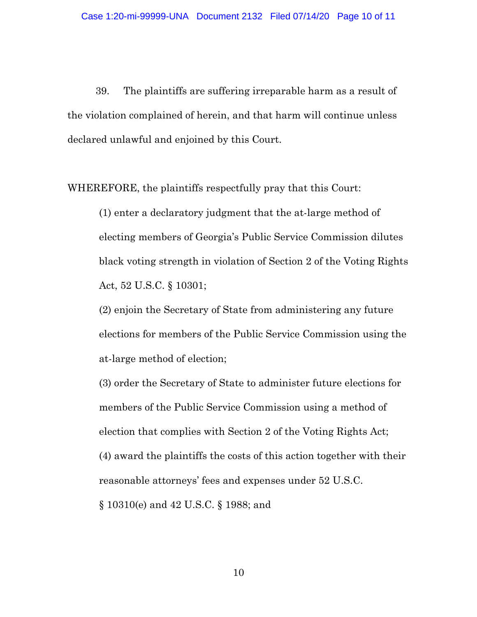39. The plaintiffs are suffering irreparable harm as a result of the violation complained of herein, and that harm will continue unless declared unlawful and enjoined by this Court.

WHEREFORE, the plaintiffs respectfully pray that this Court:

(1) enter a declaratory judgment that the at-large method of electing members of Georgia's Public Service Commission dilutes black voting strength in violation of Section 2 of the Voting Rights Act, 52 U.S.C. § 10301;

(2) enjoin the Secretary of State from administering any future elections for members of the Public Service Commission using the at-large method of election;

(3) order the Secretary of State to administer future elections for members of the Public Service Commission using a method of election that complies with Section 2 of the Voting Rights Act; (4) award the plaintiffs the costs of this action together with their reasonable attorneys' fees and expenses under 52 U.S.C. § 10310(e) and 42 U.S.C. § 1988; and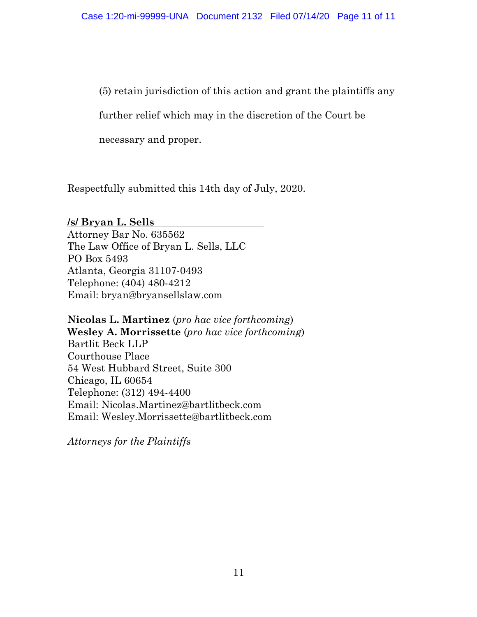(5) retain jurisdiction of this action and grant the plaintiffs any

further relief which may in the discretion of the Court be

necessary and proper.

Respectfully submitted this 14th day of July, 2020.

**/s/ Bryan L. Sells** Attorney Bar No. 635562 The Law Office of Bryan L. Sells, LLC PO Box 5493 Atlanta, Georgia 31107-0493 Telephone: (404) 480-4212 Email: bryan@bryansellslaw.com

**Nicolas L. Martinez** (*pro hac vice forthcoming*) **Wesley A. Morrissette** (*pro hac vice forthcoming*) Bartlit Beck LLP Courthouse Place 54 West Hubbard Street, Suite 300 Chicago, IL 60654 Telephone: (312) 494-4400 Email: Nicolas.Martinez@bartlitbeck.com Email: Wesley.Morrissette@bartlitbeck.com

*Attorneys for the Plaintiffs*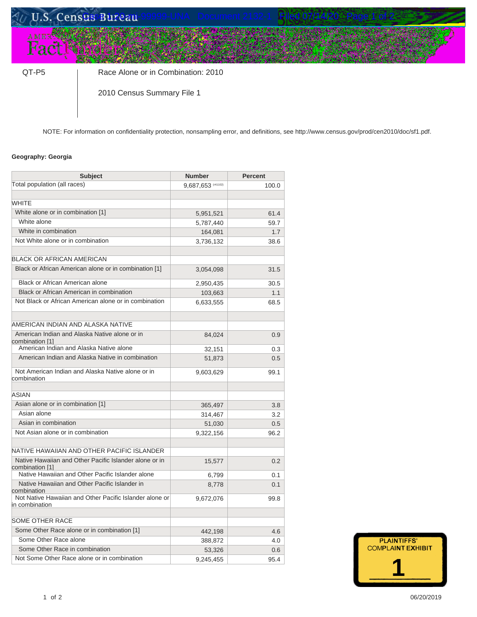# U.S. Census Bureau

QT-P5 | Race Alone or in Combination: 2010

2010 Census Summary File 1

NOTE: For information on confidentiality protection, nonsampling error, and definitions, see [http://www.census.gov/prod/cen2010/doc/sf1.pdf.](http://www.census.gov/prod/cen2010/doc/sf1.pdf)

#### **Geography: Georgia**

| <b>Subject</b>                                                            | <b>Number</b>      | <b>Percent</b> |  |
|---------------------------------------------------------------------------|--------------------|----------------|--|
| Total population (all races)                                              | 9,687,653 (r41102) | 100.0          |  |
|                                                                           |                    |                |  |
| <b>WHITE</b>                                                              |                    |                |  |
| White alone or in combination [1]                                         | 5,951,521          | 61.4           |  |
| White alone                                                               | 5,787,440          | 59.7           |  |
| White in combination                                                      | 164,081            | 1.7            |  |
| Not White alone or in combination                                         | 3,736,132          | 38.6           |  |
|                                                                           |                    |                |  |
| <b>BLACK OR AFRICAN AMERICAN</b>                                          |                    |                |  |
| Black or African American alone or in combination [1]                     | 3,054,098          | 31.5           |  |
| <b>Black or African American alone</b>                                    | 2,950,435          | 30.5           |  |
| Black or African American in combination                                  | 103,663            | 1.1            |  |
| Not Black or African American alone or in combination                     | 6,633,555          | 68.5           |  |
|                                                                           |                    |                |  |
| AMERICAN INDIAN AND ALASKA NATIVE                                         |                    |                |  |
| American Indian and Alaska Native alone or in<br>combination [1]          | 84,024             | 0.9            |  |
| American Indian and Alaska Native alone                                   | 32,151             | 0.3            |  |
| American Indian and Alaska Native in combination                          | 51,873             | 0.5            |  |
| Not American Indian and Alaska Native alone or in<br>combination          | 9,603,629          | 99.1           |  |
| <b>ASIAN</b>                                                              |                    |                |  |
| Asian alone or in combination [1]                                         | 365,497            | 3.8            |  |
| Asian alone                                                               | 314,467            | 3.2            |  |
| Asian in combination                                                      | 51,030             | 0.5            |  |
| Not Asian alone or in combination                                         | 9,322,156          | 96.2           |  |
|                                                                           |                    |                |  |
| NATIVE HAWAIIAN AND OTHER PACIFIC ISLANDER                                |                    |                |  |
| Native Hawaiian and Other Pacific Islander alone or in                    | 15,577             | 0.2            |  |
| combination [1]<br>Native Hawaiian and Other Pacific Islander alone       |                    | 0.1            |  |
| Native Hawaiian and Other Pacific Islander in                             | 6,799<br>8,778     | 0.1            |  |
| combination                                                               |                    |                |  |
| Not Native Hawaiian and Other Pacific Islander alone or<br>in combination | 9,672,076          | 99.8           |  |
|                                                                           |                    |                |  |
| <b>SOME OTHER RACE</b>                                                    |                    |                |  |
| Some Other Race alone or in combination [1]                               | 442,198            | 4.6            |  |
| Some Other Race alone                                                     | 388,872            | 4.0            |  |
| Some Other Race in combination                                            | 53,326             | 0.6            |  |
| Not Some Other Race alone or in combination                               | 9,245,455          | 95.4           |  |

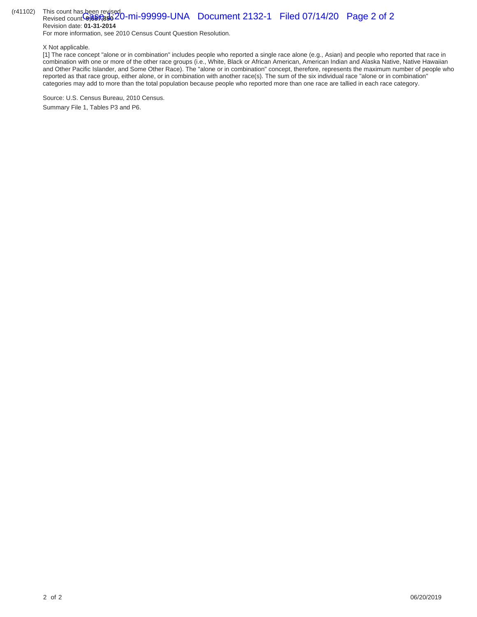#### (r41102) This count has been revised. Revised count: **9,887,850** 20-mi-99999-UNA Document 2132-1 Filed 07/14/20 Page 2 of 2 Revision date: **01-31-2014**

For more information, see [2010 Census Count Question Resolution.](http://www.census.gov/prod/cen2010/notes/errata.pdf)

X Not applicable.

[1] The race concept "alone or in combination" includes people who reported a single race alone (e.g., Asian) and people who reported that race in combination with one or more of the other race groups (i.e., White, Black or African American, American Indian and Alaska Native, Native Hawaiian and Other Pacific Islander, and Some Other Race). The "alone or in combination" concept, therefore, represents the maximum number of people who reported as that race group, either alone, or in combination with another race(s). The sum of the six individual race "alone or in combination" categories may add to more than the total population because people who reported more than one race are tallied in each race category.

Source: U.S. Census Bureau, 2010 Census. Summary File 1, Tables P3 and P6.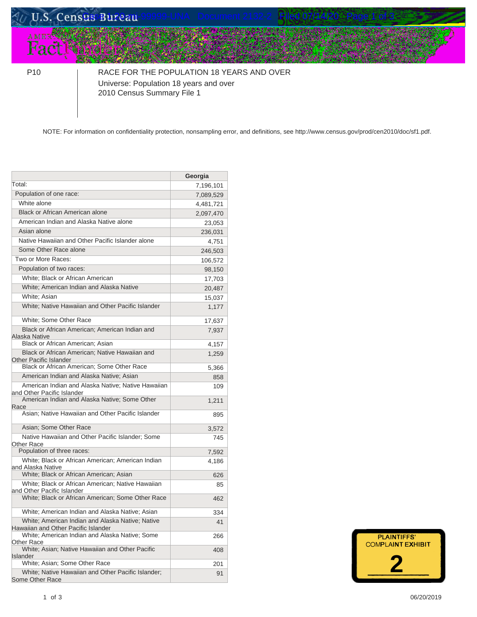# U.S. Census Bureau дмез∰<br>**Fact**

P10 RACE FOR THE POPULATION 18 YEARS AND OVER Universe: Population 18 years and over 2010 Census Summary File 1

NOTE: For information on confidentiality protection, nonsampling error, and definitions, see [http://www.census.gov/prod/cen2010/doc/sf1.pdf.](http://www.census.gov/prod/cen2010/doc/sf1.pdf)

|                                                                                         | Georgia   |
|-----------------------------------------------------------------------------------------|-----------|
| Total:                                                                                  | 7,196,101 |
| Population of one race:                                                                 | 7,089,529 |
| White alone                                                                             | 4,481,721 |
| Black or African American alone                                                         | 2,097,470 |
| American Indian and Alaska Native alone                                                 | 23,053    |
| Asian alone                                                                             | 236,031   |
| Native Hawaiian and Other Pacific Islander alone                                        | 4,751     |
| Some Other Race alone                                                                   | 246,503   |
| Two or More Races:                                                                      | 106,572   |
| Population of two races:                                                                | 98,150    |
| White; Black or African American                                                        | 17,703    |
| White; American Indian and Alaska Native                                                | 20,487    |
| White; Asian                                                                            | 15,037    |
| White; Native Hawaiian and Other Pacific Islander                                       | 1,177     |
| White; Some Other Race                                                                  | 17,637    |
| Black or African American; American Indian and<br>Alaska Native                         | 7,937     |
| Black or African American; Asian                                                        | 4,157     |
| Black or African American; Native Hawaiian and<br><b>Other Pacific Islander</b>         | 1,259     |
| Black or African American; Some Other Race                                              | 5,366     |
| American Indian and Alaska Native; Asian                                                | 858       |
| American Indian and Alaska Native; Native Hawaiian<br>and Other Pacific Islander        | 109       |
| American Indian and Alaska Native; Some Other<br>Race                                   | 1,211     |
| Asian; Native Hawaiian and Other Pacific Islander                                       | 895       |
| Asian; Some Other Race                                                                  | 3,572     |
| Native Hawaiian and Other Pacific Islander; Some<br>Other Race                          | 745       |
| Population of three races:                                                              | 7,592     |
| White; Black or African American; American Indian<br>and Alaska Native                  | 4,186     |
| White; Black or African American; Asian                                                 | 626       |
| White; Black or African American; Native Hawaiian<br>and Other Pacific Islander         | 85        |
| White; Black or African American; Some Other Race                                       | 462       |
| White; American Indian and Alaska Native; Asian                                         | 334       |
| White; American Indian and Alaska Native; Native<br>Hawaiian and Other Pacific Islander | 41        |
| White; American Indian and Alaska Native; Some<br>Other Race                            | 266       |
| White; Asian; Native Hawaiian and Other Pacific<br>Islander                             | 408       |
| White; Asian; Some Other Race                                                           | 201       |
| White; Native Hawaiian and Other Pacific Islander;<br>Some Other Race                   | 91        |

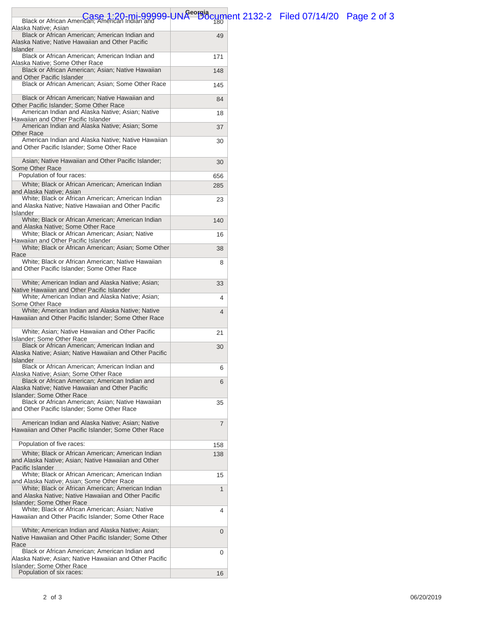| Black or African American; American Indian and 99999-UNA <sup>eorgi</sup> dcument 2132-2 Filed 07/14/20 Page 2 of 3<br>Alaska Native: Asian   |                |  |  |
|-----------------------------------------------------------------------------------------------------------------------------------------------|----------------|--|--|
| Black or African American; American Indian and<br>Alaska Native; Native Hawaiian and Other Pacific                                            | 49             |  |  |
| <b>Islander</b><br>Black or African American; American Indian and<br>Alaska Native; Some Other Race                                           | 171            |  |  |
| Black or African American; Asian; Native Hawaiian<br>and Other Pacific Islander                                                               | 148            |  |  |
| Black or African American; Asian; Some Other Race                                                                                             | 145            |  |  |
| Black or African American; Native Hawaiian and<br>Other Pacific Islander; Some Other Race                                                     | 84             |  |  |
| American Indian and Alaska Native; Asian; Native<br>Hawaiian and Other Pacific Islander                                                       | 18             |  |  |
| American Indian and Alaska Native; Asian; Some<br><b>Other Race</b>                                                                           | 37             |  |  |
| American Indian and Alaska Native; Native Hawaiian<br>and Other Pacific Islander; Some Other Race                                             | 30             |  |  |
| Asian; Native Hawaiian and Other Pacific Islander;<br>Some Other Race                                                                         | 30             |  |  |
| Population of four races:                                                                                                                     | 656            |  |  |
| White; Black or African American; American Indian                                                                                             | 285            |  |  |
| and Alaska Native; Asian<br>White; Black or African American; American Indian                                                                 |                |  |  |
| and Alaska Native; Native Hawaiian and Other Pacific                                                                                          | 23             |  |  |
| Islander<br>White; Black or African American; American Indian                                                                                 | 140            |  |  |
| and Alaska Native; Some Other Race<br>White; Black or African American; Asian; Native<br>Hawaiian and Other Pacific Islander                  | 16             |  |  |
| White; Black or African American; Asian; Some Other<br>Race                                                                                   | 38             |  |  |
| White; Black or African American; Native Hawaiian<br>and Other Pacific Islander; Some Other Race                                              | 8              |  |  |
| White; American Indian and Alaska Native; Asian;<br>Native Hawaiian and Other Pacific Islander                                                | 33             |  |  |
| White; American Indian and Alaska Native; Asian;<br>Some Other Race                                                                           | 4              |  |  |
| White; American Indian and Alaska Native; Native<br>Hawaiian and Other Pacific Islander; Some Other Race                                      | 4              |  |  |
| White; Asian; Native Hawaiian and Other Pacific<br>Islander: Some Other Race                                                                  | 21             |  |  |
| Black or African American; American Indian and                                                                                                | 30             |  |  |
| Alaska Native; Asian; Native Hawaiian and Other Pacific<br><b>Islander</b>                                                                    |                |  |  |
| Black or African American; American Indian and<br>Alaska Native: Asian: Some Other Race                                                       | 6              |  |  |
| Black or African American; American Indian and                                                                                                | 6              |  |  |
| Alaska Native; Native Hawaiian and Other Pacific<br><b>Islander: Some Other Race</b>                                                          |                |  |  |
| Black or African American; Asian; Native Hawaiian                                                                                             | 35             |  |  |
| and Other Pacific Islander; Some Other Race                                                                                                   |                |  |  |
| American Indian and Alaska Native; Asian; Native<br>Hawaiian and Other Pacific Islander; Some Other Race                                      | $\overline{7}$ |  |  |
| Population of five races:                                                                                                                     | 158            |  |  |
| White; Black or African American; American Indian<br>and Alaska Native; Asian; Native Hawaiian and Other                                      | 138            |  |  |
| Pacific Islander<br>White; Black or African American; American Indian                                                                         | 15             |  |  |
| and Alaska Native; Asian; Some Other Race<br>White; Black or African American; American Indian                                                | 1              |  |  |
| and Alaska Native; Native Hawaiian and Other Pacific<br><b>Islander: Some Other Race</b>                                                      |                |  |  |
| White; Black or African American; Asian; Native<br>Hawaiian and Other Pacific Islander; Some Other Race                                       | 4              |  |  |
| White; American Indian and Alaska Native; Asian;<br>Native Hawaiian and Other Pacific Islander; Some Other<br>Race                            | 0              |  |  |
| Black or African American; American Indian and<br>Alaska Native; Asian; Native Hawaiian and Other Pacific<br><b>Islander: Some Other Race</b> | 0              |  |  |
| Population of six races:                                                                                                                      | 16             |  |  |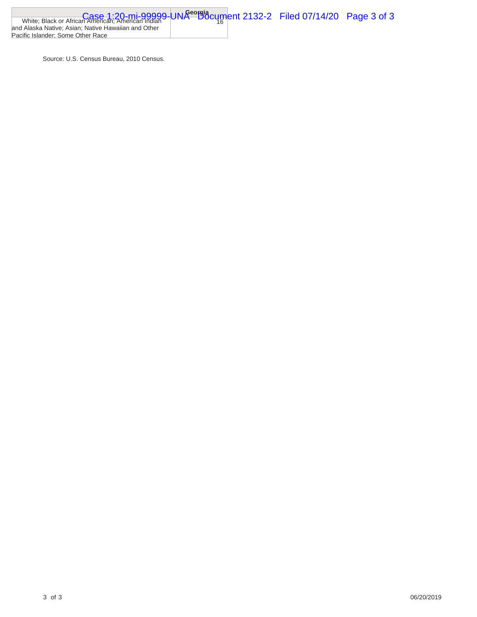| White; Black or African American; American Indian 9- UNA <sup>eorgi</sup> dcument 2132-2 Filed 07/14/20 Page 3 of $\sim$ |  |  |
|--------------------------------------------------------------------------------------------------------------------------|--|--|
|                                                                                                                          |  |  |
| and Alaska Native: Asian: Native Hawaiian and Other                                                                      |  |  |
| Pacific Islander: Some Other Race                                                                                        |  |  |

Source: U.S. Census Bureau, 2010 Census.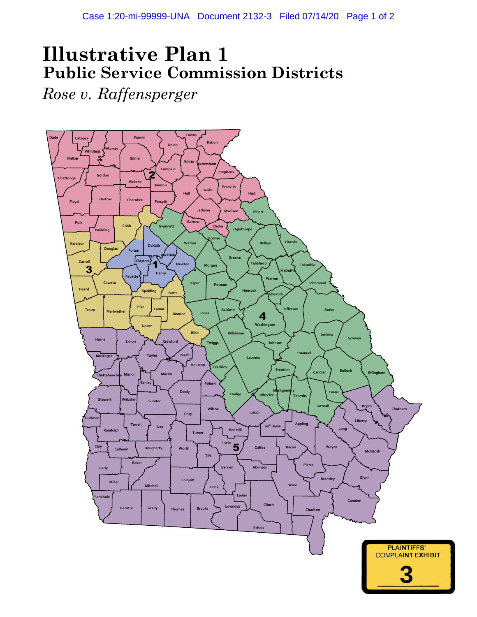## **Illustrative Plan 1 Public Service Commission Districts**

*Rose v. Raffensperger*